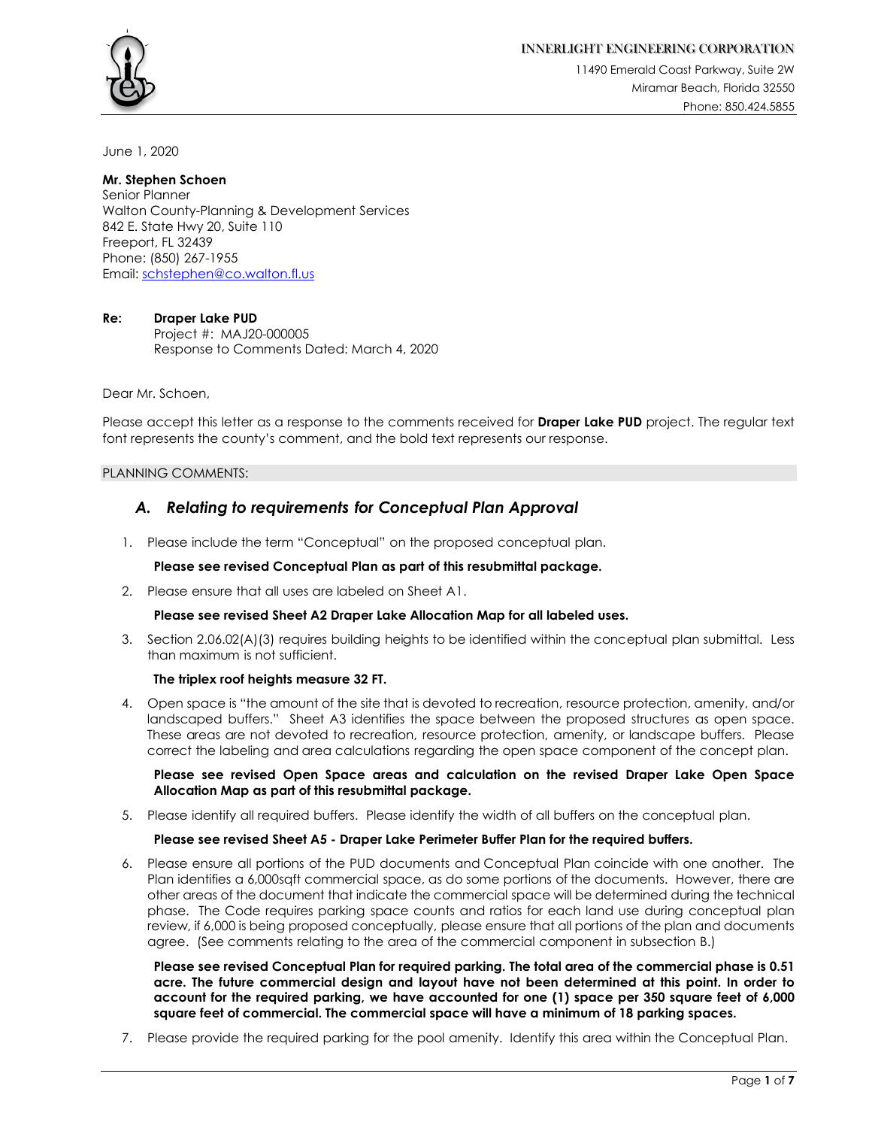

11490 Emerald Coast Parkway, Suite 2W Miramar Beach, Florida 32550 Phone: 850.424.5855

June 1, 2020

### **Mr. Stephen Schoen** Senior Planner

Walton County-Planning & Development Services 842 E. State Hwy 20, Suite 110 Freeport, FL 32439 Phone: (850) 267-1955 Email: schstephen@co.walton.fl.us

# **Re: Draper Lake PUD**

Project #: MAJ20-000005 Response to Comments Dated: March 4, 2020

Dear Mr. Schoen,

Please accept this letter as a response to the comments received for **Draper Lake PUD** project. The regular text font represents the county's comment, and the bold text represents our response.

# PLANNING COMMENTS:

# *A. Relating to requirements for Conceptual Plan Approval*

1. Please include the term "Conceptual" on the proposed conceptual plan.

# **Please see revised Conceptual Plan as part of this resubmittal package.**

2. Please ensure that all uses are labeled on Sheet A1.

# **Please see revised Sheet A2 Draper Lake Allocation Map for all labeled uses.**

3. Section 2.06.02(A)(3) requires building heights to be identified within the conceptual plan submittal. Less than maximum is not sufficient.

### **The triplex roof heights measure 32 FT.**

4. Open space is "the amount of the site that is devoted to recreation, resource protection, amenity, and/or landscaped buffers." Sheet A3 identifies the space between the proposed structures as open space. These areas are not devoted to recreation, resource protection, amenity, or landscape buffers. Please correct the labeling and area calculations regarding the open space component of the concept plan.

**Please see revised Open Space areas and calculation on the revised Draper Lake Open Space Allocation Map as part of this resubmittal package.**

5. Please identify all required buffers. Please identify the width of all buffers on the conceptual plan.

### **Please see revised Sheet A5 - Draper Lake Perimeter Buffer Plan for the required buffers.**

6. Please ensure all portions of the PUD documents and Conceptual Plan coincide with one another. The Plan identifies a 6,000sqft commercial space, as do some portions of the documents. However, there are other areas of the document that indicate the commercial space will be determined during the technical phase. The Code requires parking space counts and ratios for each land use during conceptual plan review, if 6,000 is being proposed conceptually, please ensure that all portions of the plan and documents agree. (See comments relating to the area of the commercial component in subsection B.)

**Please see revised Conceptual Plan for required parking. The total area of the commercial phase is 0.51 acre. The future commercial design and layout have not been determined at this point. In order to account for the required parking, we have accounted for one (1) space per 350 square feet of 6,000 square feet of commercial. The commercial space will have a minimum of 18 parking spaces.** 

7. Please provide the required parking for the pool amenity. Identify this area within the Conceptual Plan.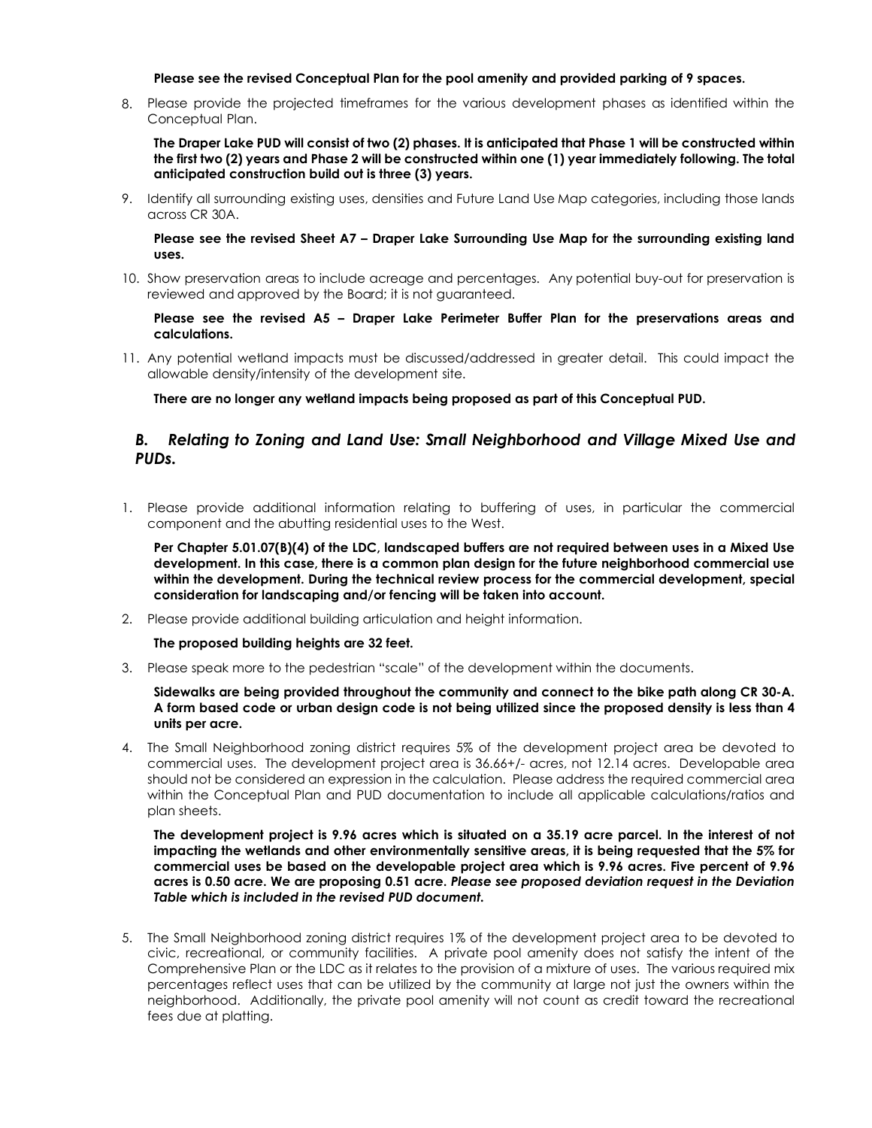### **Please see the revised Conceptual Plan for the pool amenity and provided parking of 9 spaces.**

8. Please provide the projected timeframes for the various development phases as identified within the Conceptual Plan.

**The Draper Lake PUD will consist of two (2) phases. It is anticipated that Phase 1 will be constructed within the first two (2) years and Phase 2 will be constructed within one (1) year immediately following. The total anticipated construction build out is three (3) years.** 

9. Identify all surrounding existing uses, densities and Future Land Use Map categories, including those lands across CR 30A.

**Please see the revised Sheet A7 – Draper Lake Surrounding Use Map for the surrounding existing land uses.** 

10. Show preservation areas to include acreage and percentages. Any potential buy-out for preservation is reviewed and approved by the Board; it is not guaranteed.

**Please see the revised A5 – Draper Lake Perimeter Buffer Plan for the preservations areas and calculations.**

11. Any potential wetland impacts must be discussed/addressed in greater detail. This could impact the allowable density/intensity of the development site.

**There are no longer any wetland impacts being proposed as part of this Conceptual PUD.** 

# *B. Relating to Zoning and Land Use: Small Neighborhood and Village Mixed Use and PUDs.*

1. Please provide additional information relating to buffering of uses, in particular the commercial component and the abutting residential uses to the West.

**Per Chapter 5.01.07(B)(4) of the LDC, landscaped buffers are not required between uses in a Mixed Use development. In this case, there is a common plan design for the future neighborhood commercial use within the development. During the technical review process for the commercial development, special consideration for landscaping and/or fencing will be taken into account.** 

2. Please provide additional building articulation and height information.

### **The proposed building heights are 32 feet.**

3. Please speak more to the pedestrian "scale" of the development within the documents.

### **Sidewalks are being provided throughout the community and connect to the bike path along CR 30-A. A form based code or urban design code is not being utilized since the proposed density is less than 4 units per acre.**

4. The Small Neighborhood zoning district requires 5% of the development project area be devoted to commercial uses. The development project area is 36.66+/- acres, not 12.14 acres. Developable area should not be considered an expression in the calculation. Please address the required commercial area within the Conceptual Plan and PUD documentation to include all applicable calculations/ratios and plan sheets.

**The development project is 9.96 acres which is situated on a 35.19 acre parcel. In the interest of not impacting the wetlands and other environmentally sensitive areas, it is being requested that the 5% for commercial uses be based on the developable project area which is 9.96 acres. Five percent of 9.96 acres is 0.50 acre. We are proposing 0.51 acre.** *Please see proposed deviation request in the Deviation Table which is included in the revised PUD document.*

5. The Small Neighborhood zoning district requires 1% of the development project area to be devoted to civic, recreational, or community facilities. A private pool amenity does not satisfy the intent of the Comprehensive Plan or the LDC as it relates to the provision of a mixture of uses. The various required mix percentages reflect uses that can be utilized by the community at large not just the owners within the neighborhood. Additionally, the private pool amenity will not count as credit toward the recreational fees due at platting.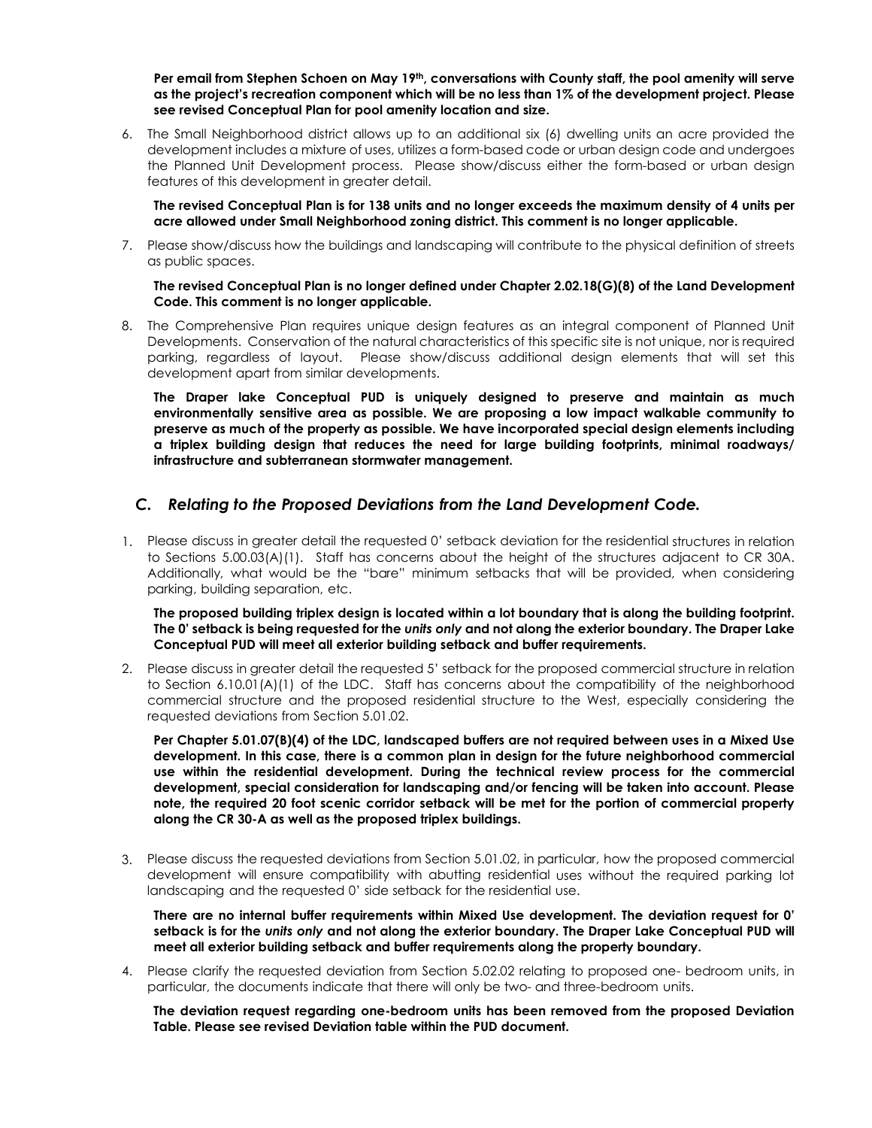Per email from Stephen Schoen on May 19<sup>th</sup>, conversations with County staff, the pool amenity will serve **as the project's recreation component which will be no less than 1% of the development project. Please see revised Conceptual Plan for pool amenity location and size.** 

6. The Small Neighborhood district allows up to an additional six (6) dwelling units an acre provided the development includes a mixture of uses, utilizes a form-based code or urban design code and undergoes the Planned Unit Development process. Please show/discuss either the form-based or urban design features of this development in greater detail.

**The revised Conceptual Plan is for 138 units and no longer exceeds the maximum density of 4 units per acre allowed under Small Neighborhood zoning district. This comment is no longer applicable.** 

7. Please show/discuss how the buildings and landscaping will contribute to the physical definition of streets as public spaces.

### **The revised Conceptual Plan is no longer defined under Chapter 2.02.18(G)(8) of the Land Development Code. This comment is no longer applicable.**

8. The Comprehensive Plan requires unique design features as an integral component of Planned Unit Developments. Conservation of the natural characteristics of this specific site is not unique, nor is required parking, regardless of layout. Please show/discuss additional design elements that will set this development apart from similar developments.

**The Draper lake Conceptual PUD is uniquely designed to preserve and maintain as much environmentally sensitive area as possible. We are proposing a low impact walkable community to preserve as much of the property as possible. We have incorporated special design elements including a triplex building design that reduces the need for large building footprints, minimal roadways/ infrastructure and subterranean stormwater management.**

# *C. Relating to the Proposed Deviations from the Land Development Code.*

1. Please discuss in greater detail the requested 0' setback deviation for the residential structures in relation to Sections 5.00.03(A)(1). Staff has concerns about the height of the structures adjacent to CR 30A. Additionally, what would be the "bare" minimum setbacks that will be provided, when considering parking, building separation, etc.

**The proposed building triplex design is located within a lot boundary that is along the building footprint. The 0' setback is being requested for the** *units only* **and not along the exterior boundary. The Draper Lake Conceptual PUD will meet all exterior building setback and buffer requirements.**

2. Please discuss in greater detail the requested 5' setback for the proposed commercial structure in relation to Section 6.10.01(A)(1) of the LDC. Staff has concerns about the compatibility of the neighborhood commercial structure and the proposed residential structure to the West, especially considering the requested deviations from Section 5.01.02.

**Per Chapter 5.01.07(B)(4) of the LDC, landscaped buffers are not required between uses in a Mixed Use development. In this case, there is a common plan in design for the future neighborhood commercial use within the residential development. During the technical review process for the commercial development, special consideration for landscaping and/or fencing will be taken into account. Please note, the required 20 foot scenic corridor setback will be met for the portion of commercial property along the CR 30-A as well as the proposed triplex buildings.**

3. Please discuss the requested deviations from Section 5.01.02, in particular, how the proposed commercial development will ensure compatibility with abutting residential uses without the required parking lot landscaping and the requested 0' side setback for the residential use.

**There are no internal buffer requirements within Mixed Use development. The deviation request for 0' setback is for the** *units only* **and not along the exterior boundary. The Draper Lake Conceptual PUD will meet all exterior building setback and buffer requirements along the property boundary.** 

4. Please clarify the requested deviation from Section 5.02.02 relating to proposed one- bedroom units, in particular, the documents indicate that there will only be two- and three-bedroom units.

**The deviation request regarding one-bedroom units has been removed from the proposed Deviation Table. Please see revised Deviation table within the PUD document.**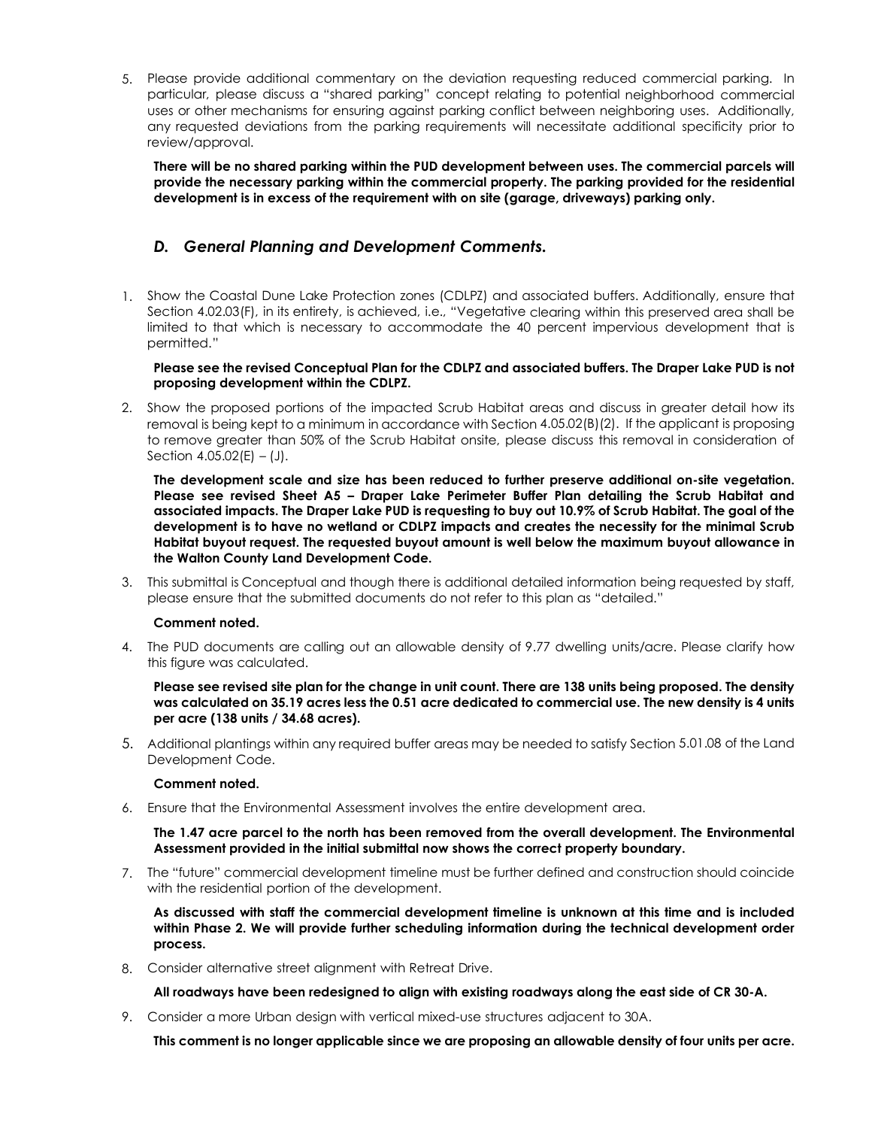5. Please provide additional commentary on the deviation requesting reduced commercial parking. In particular, please discuss a "shared parking" concept relating to potential neighborhood commercial uses or other mechanisms for ensuring against parking conflict between neighboring uses. Additionally, any requested deviations from the parking requirements will necessitate additional specificity prior to review/approval.

**There will be no shared parking within the PUD development between uses. The commercial parcels will provide the necessary parking within the commercial property. The parking provided for the residential development is in excess of the requirement with on site (garage, driveways) parking only.** 

# *D. General Planning and Development Comments.*

1. Show the Coastal Dune Lake Protection zones (CDLPZ) and associated buffers. Additionally, ensure that Section 4.02.03(F), in its entirety, is achieved, i.e., "Vegetative clearing within this preserved area shall be limited to that which is necessary to accommodate the 40 percent impervious development that is permitted."

### **Please see the revised Conceptual Plan for the CDLPZ and associated buffers. The Draper Lake PUD is not proposing development within the CDLPZ.**

2. Show the proposed portions of the impacted Scrub Habitat areas and discuss in greater detail how its removal is being kept to a minimum in accordance with Section 4.05.02(B)(2). If the applicant is proposing to remove greater than 50% of the Scrub Habitat onsite, please discuss this removal in consideration of Section  $4.05.02(E) - (J)$ .

**The development scale and size has been reduced to further preserve additional on-site vegetation. Please see revised Sheet A5 – Draper Lake Perimeter Buffer Plan detailing the Scrub Habitat and associated impacts. The Draper Lake PUD is requesting to buy out 10.9% of Scrub Habitat. The goal of the development is to have no wetland or CDLPZ impacts and creates the necessity for the minimal Scrub Habitat buyout request. The requested buyout amount is well below the maximum buyout allowance in the Walton County Land Development Code.**

3. This submittal is Conceptual and though there is additional detailed information being requested by staff, please ensure that the submitted documents do not refer to this plan as "detailed."

# **Comment noted.**

4. The PUD documents are calling out an allowable density of 9.77 dwelling units/acre. Please clarify how this figure was calculated.

### **Please see revised site plan for the change in unit count. There are 138 units being proposed. The density was calculated on 35.19 acres less the 0.51 acre dedicated to commercial use. The new density is 4 units per acre (138 units / 34.68 acres).**

5. Additional plantings within any required buffer areas may be needed to satisfy Section 5.01.08 of the Land Development Code.

### **Comment noted.**

6. Ensure that the Environmental Assessment involves the entire development area.

**The 1.47 acre parcel to the north has been removed from the overall development. The Environmental Assessment provided in the initial submittal now shows the correct property boundary.** 

7. The "future" commercial development timeline must be further defined and construction should coincide with the residential portion of the development.

**As discussed with staff the commercial development timeline is unknown at this time and is included within Phase 2. We will provide further scheduling information during the technical development order process.** 

8. Consider alternative street alignment with Retreat Drive.

**All roadways have been redesigned to align with existing roadways along the east side of CR 30-A.**

9. Consider a more Urban design with vertical mixed-use structures adjacent to 30A.

**This comment is no longer applicable since we are proposing an allowable density of four units per acre.**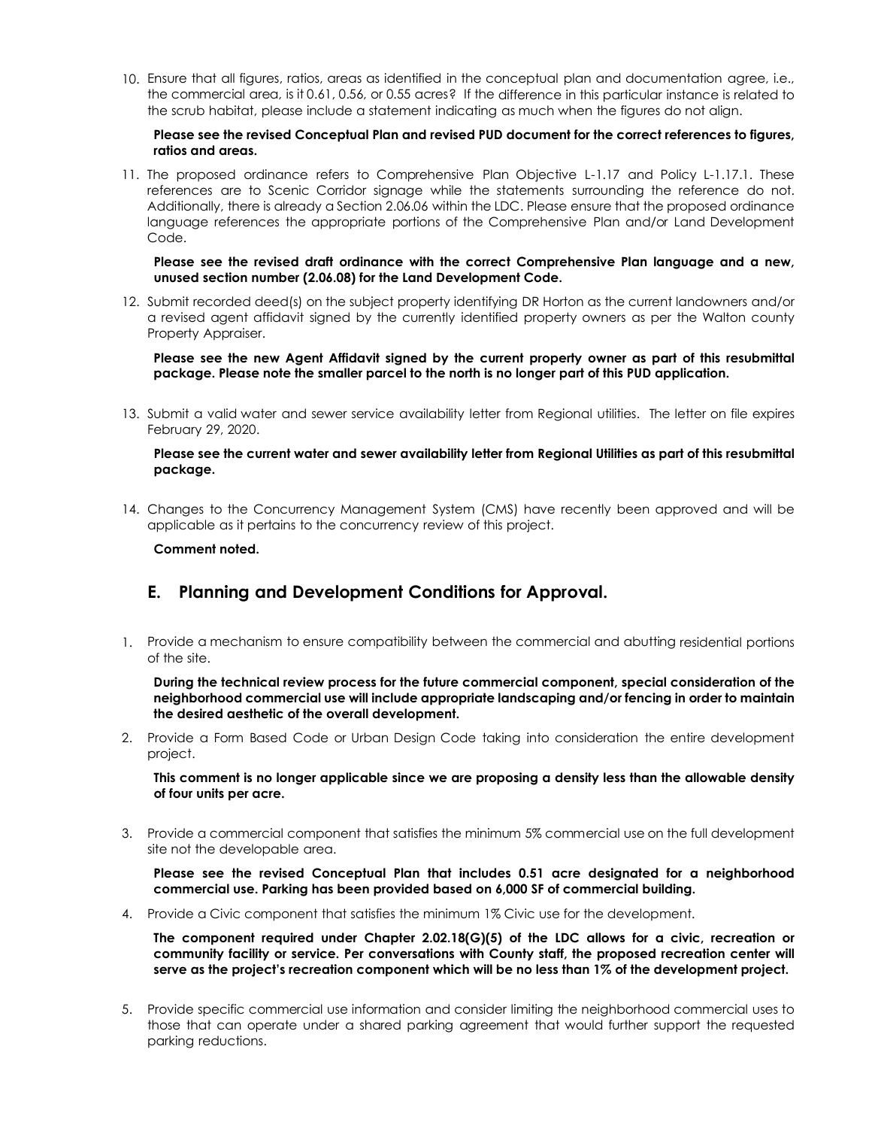10. Ensure that all figures, ratios, areas as identified in the conceptual plan and documentation agree, i.e., the commercial area, is it 0.61, 0.56, or 0.55 acres? If the difference in this particular instance is related to the scrub habitat, please include a statement indicating as much when the figures do not align.

### **Please see the revised Conceptual Plan and revised PUD document for the correct references to figures, ratios and areas.**

11. The proposed ordinance refers to Comprehensive Plan Objective L-1.17 and Policy L-1.17.1. These references are to Scenic Corridor signage while the statements surrounding the reference do not. Additionally, there is already a Section 2.06.06 within the LDC. Please ensure that the proposed ordinance language references the appropriate portions of the Comprehensive Plan and/or Land Development Code.

### **Please see the revised draft ordinance with the correct Comprehensive Plan language and a new, unused section number (2.06.08) for the Land Development Code.**

12. Submit recorded deed(s) on the subject property identifying DR Horton as the current landowners and/or a revised agent affidavit signed by the currently identified property owners as per the Walton county Property Appraiser.

**Please see the new Agent Affidavit signed by the current property owner as part of this resubmittal package. Please note the smaller parcel to the north is no longer part of this PUD application.**

13. Submit a valid water and sewer service availability letter from Regional utilities. The letter on file expires February 29, 2020.

### **Please see the current water and sewer availability letter from Regional Utilities as part of this resubmittal package.**

14. Changes to the Concurrency Management System (CMS) have recently been approved and will be applicable as it pertains to the concurrency review of this project.

### **Comment noted.**

# **E. Planning and Development Conditions for Approval.**

1. Provide a mechanism to ensure compatibility between the commercial and abutting residential portions of the site.

**During the technical review process for the future commercial component, special consideration of the neighborhood commercial use will include appropriate landscaping and/or fencing in order to maintain the desired aesthetic of the overall development.**

2. Provide a Form Based Code or Urban Design Code taking into consideration the entire development project.

**This comment is no longer applicable since we are proposing a density less than the allowable density of four units per acre.**

3. Provide a commercial component that satisfies the minimum 5% commercial use on the full development site not the developable area.

**Please see the revised Conceptual Plan that includes 0.51 acre designated for a neighborhood commercial use. Parking has been provided based on 6,000 SF of commercial building.** 

4. Provide a Civic component that satisfies the minimum 1% Civic use for the development.

**The component required under Chapter 2.02.18(G)(5) of the LDC allows for a civic, recreation or community facility or service. Per conversations with County staff, the proposed recreation center will serve as the project's recreation component which will be no less than 1% of the development project.**

5. Provide specific commercial use information and consider limiting the neighborhood commercial uses to those that can operate under a shared parking agreement that would further support the requested parking reductions.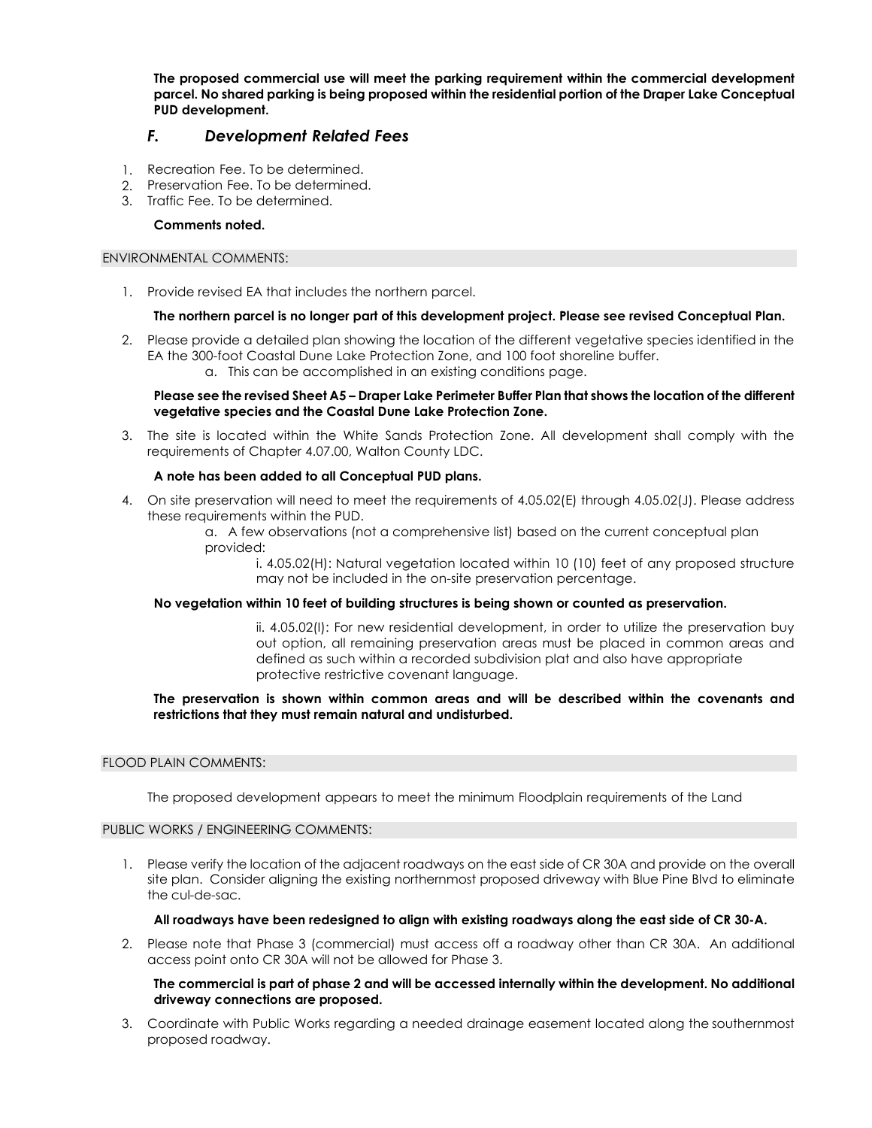**The proposed commercial use will meet the parking requirement within the commercial development parcel. No shared parking is being proposed within the residential portion of the Draper Lake Conceptual PUD development.**

# *F. Development Related Fees*

- 1. Recreation Fee. To be determined.
- 2. Preservation Fee. To be determined.
- 3. Traffic Fee. To be determined.

### **Comments noted.**

### ENVIRONMENTAL COMMENTS:

1. Provide revised EA that includes the northern parcel.

### **The northern parcel is no longer part of this development project. Please see revised Conceptual Plan.**

2. Please provide a detailed plan showing the location of the different vegetative species identified in the EA the 300-foot Coastal Dune Lake Protection Zone, and 100 foot shoreline buffer. a. This can be accomplished in an existing conditions page.

### **Please see the revised Sheet A5 – Draper Lake Perimeter Buffer Plan that shows the location of the different vegetative species and the Coastal Dune Lake Protection Zone.**

3. The site is located within the White Sands Protection Zone. All development shall comply with the requirements of Chapter 4.07.00, Walton County LDC.

### **A note has been added to all Conceptual PUD plans.**

- 4. On site preservation will need to meet the requirements of 4.05.02(E) through 4.05.02(J). Please address these requirements within the PUD.
	- a. A few observations (not a comprehensive list) based on the current conceptual plan provided:

i. 4.05.02(H): Natural vegetation located within 10 (10) feet of any proposed structure may not be included in the on-site preservation percentage.

### **No vegetation within 10 feet of building structures is being shown or counted as preservation.**

ii. 4.05.02(I): For new residential development, in order to utilize the preservation buy out option, all remaining preservation areas must be placed in common areas and defined as such within a recorded subdivision plat and also have appropriate protective restrictive covenant language.

### **The preservation is shown within common areas and will be described within the covenants and restrictions that they must remain natural and undisturbed.**

### FLOOD PLAIN COMMENTS:

The proposed development appears to meet the minimum Floodplain requirements of the Land

### PUBLIC WORKS / ENGINEERING COMMENTS:

1. Please verify the location of the adjacent roadways on the east side of CR 30A and provide on the overall site plan. Consider aligning the existing northernmost proposed driveway with Blue Pine Blvd to eliminate the cul-de-sac.

### **All roadways have been redesigned to align with existing roadways along the east side of CR 30-A.**

2. Please note that Phase 3 (commercial) must access off a roadway other than CR 30A. An additional access point onto CR 30A will not be allowed for Phase 3.

### **The commercial is part of phase 2 and will be accessed internally within the development. No additional driveway connections are proposed.**

3. Coordinate with Public Works regarding a needed drainage easement located along the southernmost proposed roadway.